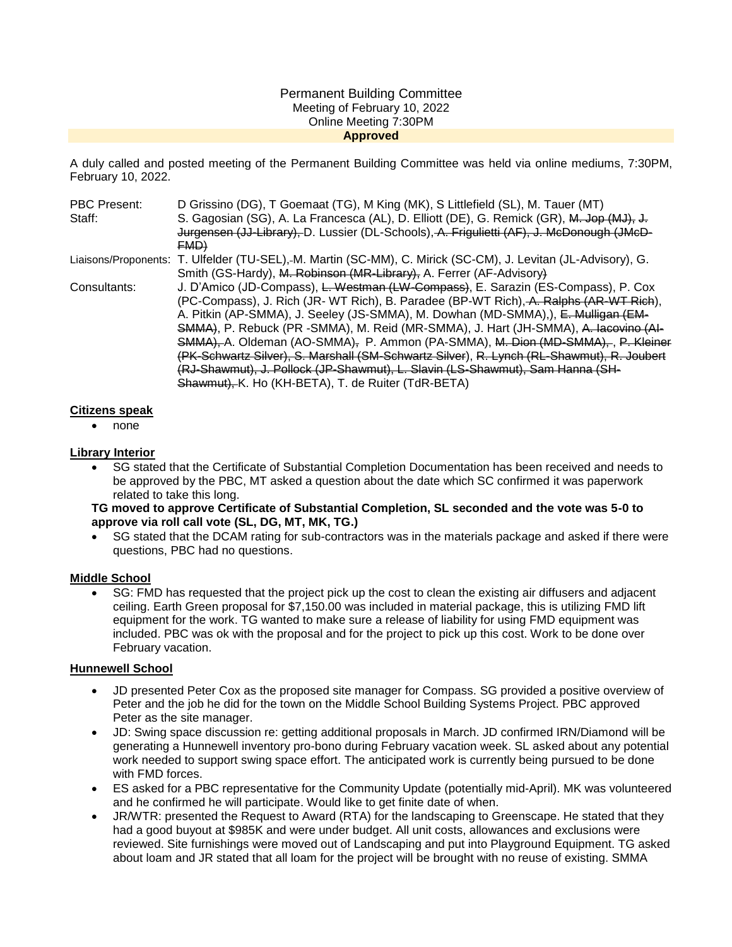#### Permanent Building Committee Meeting of February 10, 2022 Online Meeting 7:30PM **Approved**

A duly called and posted meeting of the Permanent Building Committee was held via online mediums, 7:30PM, February 10, 2022.

| <b>PBC Present:</b> | D Grissino (DG), T Goemaat (TG), M King (MK), S Littlefield (SL), M. Tauer (MT)                               |
|---------------------|---------------------------------------------------------------------------------------------------------------|
| Staff:              | S. Gagosian (SG), A. La Francesca (AL), D. Elliott (DE), G. Remick (GR), M. Jop (MJ), J.                      |
|                     | Jurgensen (JJ-Library), D. Lussier (DL-Schools), A. Frigulietti (AF), J. McDonough (JMcD-                     |
|                     | FMD                                                                                                           |
|                     | Liaisons/Proponents: T. Ulfelder (TU-SEL),-M. Martin (SC-MM), C. Mirick (SC-CM), J. Levitan (JL-Advisory), G. |
|                     | Smith (GS-Hardy), M. Robinson (MR-Library), A. Ferrer (AF-Advisory)                                           |
| Consultants:        | J. D'Amico (JD-Compass), L. Westman (LW-Compass), E. Sarazin (ES-Compass), P. Cox                             |
|                     | (PC-Compass), J. Rich (JR- WT Rich), B. Paradee (BP-WT Rich), A. Ralphs (AR-WT Rich),                         |
|                     | A. Pitkin (AP-SMMA), J. Seeley (JS-SMMA), M. Dowhan (MD-SMMA),), E. Mulligan (EM-                             |
|                     | SMMA), P. Rebuck (PR -SMMA), M. Reid (MR-SMMA), J. Hart (JH-SMMA), A. Iacovino (AI-                           |
|                     | SMMA), A. Oldeman (AO-SMMA), P. Ammon (PA-SMMA), M. Dion (MD-SMMA), P. Kleiner                                |
|                     | (PK-Schwartz Silver), S. Marshall (SM-Schwartz Silver), R. Lynch (RL-Shawmut), R. Joubert                     |
|                     | (RJ-Shawmut), J. Pollock (JP-Shawmut), L. Slavin (LS-Shawmut), Sam Hanna (SH-                                 |
|                     | Shawmut), K. Ho (KH-BETA), T. de Ruiter (TdR-BETA)                                                            |

#### **Citizens speak**

none

# **Library Interior**

 SG stated that the Certificate of Substantial Completion Documentation has been received and needs to be approved by the PBC, MT asked a question about the date which SC confirmed it was paperwork related to take this long.

**TG moved to approve Certificate of Substantial Completion, SL seconded and the vote was 5-0 to approve via roll call vote (SL, DG, MT, MK, TG.)**

 SG stated that the DCAM rating for sub-contractors was in the materials package and asked if there were questions, PBC had no questions.

#### **Middle School**

 SG: FMD has requested that the project pick up the cost to clean the existing air diffusers and adjacent ceiling. Earth Green proposal for \$7,150.00 was included in material package, this is utilizing FMD lift equipment for the work. TG wanted to make sure a release of liability for using FMD equipment was included. PBC was ok with the proposal and for the project to pick up this cost. Work to be done over February vacation.

#### **Hunnewell School**

- JD presented Peter Cox as the proposed site manager for Compass. SG provided a positive overview of Peter and the job he did for the town on the Middle School Building Systems Project. PBC approved Peter as the site manager.
- JD: Swing space discussion re: getting additional proposals in March. JD confirmed IRN/Diamond will be generating a Hunnewell inventory pro-bono during February vacation week. SL asked about any potential work needed to support swing space effort. The anticipated work is currently being pursued to be done with FMD forces.
- ES asked for a PBC representative for the Community Update (potentially mid-April). MK was volunteered and he confirmed he will participate. Would like to get finite date of when.
- JR/WTR: presented the Request to Award (RTA) for the landscaping to Greenscape. He stated that they had a good buyout at \$985K and were under budget. All unit costs, allowances and exclusions were reviewed. Site furnishings were moved out of Landscaping and put into Playground Equipment. TG asked about loam and JR stated that all loam for the project will be brought with no reuse of existing. SMMA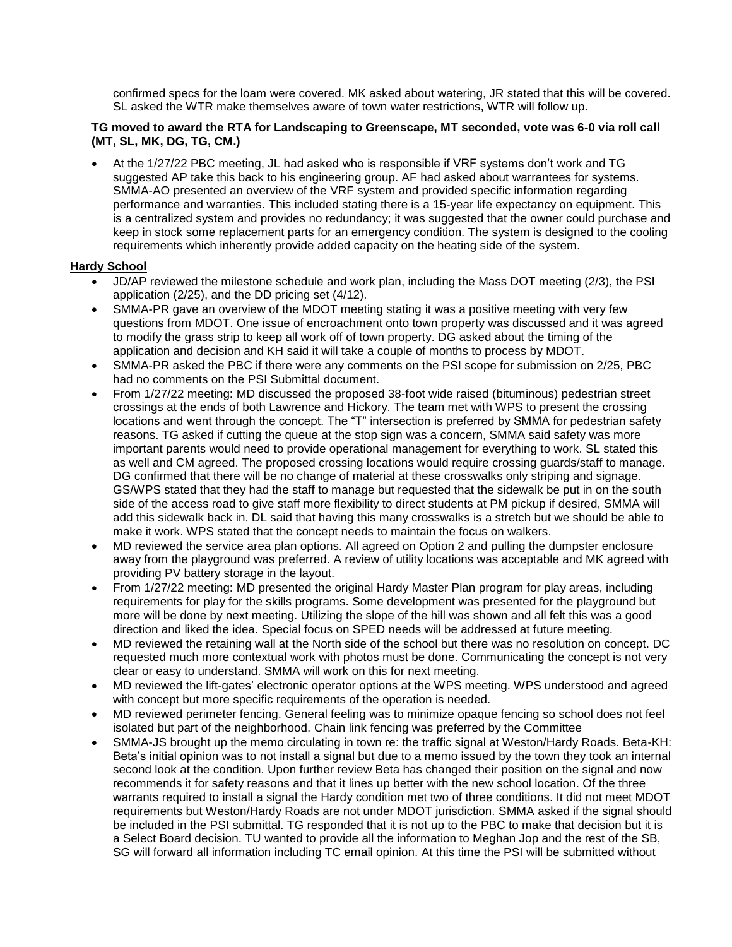confirmed specs for the loam were covered. MK asked about watering, JR stated that this will be covered. SL asked the WTR make themselves aware of town water restrictions, WTR will follow up.

## **TG moved to award the RTA for Landscaping to Greenscape, MT seconded, vote was 6-0 via roll call (MT, SL, MK, DG, TG, CM.)**

 At the 1/27/22 PBC meeting, JL had asked who is responsible if VRF systems don't work and TG suggested AP take this back to his engineering group. AF had asked about warrantees for systems. SMMA-AO presented an overview of the VRF system and provided specific information regarding performance and warranties. This included stating there is a 15-year life expectancy on equipment. This is a centralized system and provides no redundancy; it was suggested that the owner could purchase and keep in stock some replacement parts for an emergency condition. The system is designed to the cooling requirements which inherently provide added capacity on the heating side of the system.

# **Hardy School**

- JD/AP reviewed the milestone schedule and work plan, including the Mass DOT meeting (2/3), the PSI application (2/25), and the DD pricing set (4/12).
- SMMA-PR gave an overview of the MDOT meeting stating it was a positive meeting with very few questions from MDOT. One issue of encroachment onto town property was discussed and it was agreed to modify the grass strip to keep all work off of town property. DG asked about the timing of the application and decision and KH said it will take a couple of months to process by MDOT.
- SMMA-PR asked the PBC if there were any comments on the PSI scope for submission on 2/25, PBC had no comments on the PSI Submittal document.
- From 1/27/22 meeting: MD discussed the proposed 38-foot wide raised (bituminous) pedestrian street crossings at the ends of both Lawrence and Hickory. The team met with WPS to present the crossing locations and went through the concept. The "T" intersection is preferred by SMMA for pedestrian safety reasons. TG asked if cutting the queue at the stop sign was a concern, SMMA said safety was more important parents would need to provide operational management for everything to work. SL stated this as well and CM agreed. The proposed crossing locations would require crossing guards/staff to manage. DG confirmed that there will be no change of material at these crosswalks only striping and signage. GS/WPS stated that they had the staff to manage but requested that the sidewalk be put in on the south side of the access road to give staff more flexibility to direct students at PM pickup if desired, SMMA will add this sidewalk back in. DL said that having this many crosswalks is a stretch but we should be able to make it work. WPS stated that the concept needs to maintain the focus on walkers.
- MD reviewed the service area plan options. All agreed on Option 2 and pulling the dumpster enclosure away from the playground was preferred. A review of utility locations was acceptable and MK agreed with providing PV battery storage in the layout.
- From 1/27/22 meeting: MD presented the original Hardy Master Plan program for play areas, including requirements for play for the skills programs. Some development was presented for the playground but more will be done by next meeting. Utilizing the slope of the hill was shown and all felt this was a good direction and liked the idea. Special focus on SPED needs will be addressed at future meeting.
- MD reviewed the retaining wall at the North side of the school but there was no resolution on concept. DC requested much more contextual work with photos must be done. Communicating the concept is not very clear or easy to understand. SMMA will work on this for next meeting.
- MD reviewed the lift-gates' electronic operator options at the WPS meeting. WPS understood and agreed with concept but more specific requirements of the operation is needed.
- MD reviewed perimeter fencing. General feeling was to minimize opaque fencing so school does not feel isolated but part of the neighborhood. Chain link fencing was preferred by the Committee
- SMMA-JS brought up the memo circulating in town re: the traffic signal at Weston/Hardy Roads. Beta-KH: Beta's initial opinion was to not install a signal but due to a memo issued by the town they took an internal second look at the condition. Upon further review Beta has changed their position on the signal and now recommends it for safety reasons and that it lines up better with the new school location. Of the three warrants required to install a signal the Hardy condition met two of three conditions. It did not meet MDOT requirements but Weston/Hardy Roads are not under MDOT jurisdiction. SMMA asked if the signal should be included in the PSI submittal. TG responded that it is not up to the PBC to make that decision but it is a Select Board decision. TU wanted to provide all the information to Meghan Jop and the rest of the SB, SG will forward all information including TC email opinion. At this time the PSI will be submitted without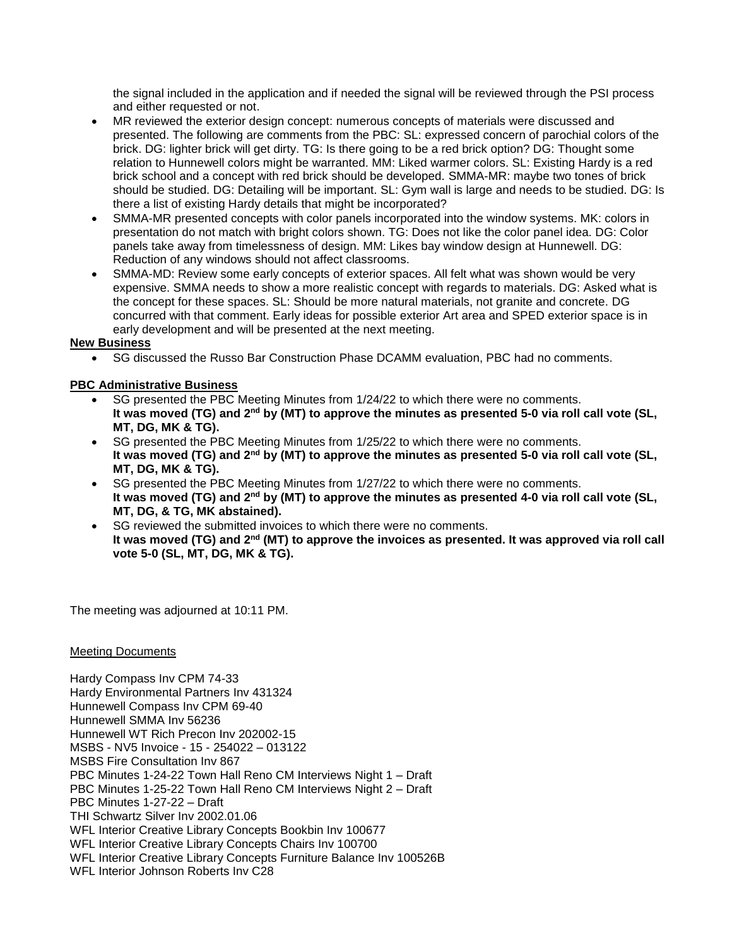the signal included in the application and if needed the signal will be reviewed through the PSI process and either requested or not.

- MR reviewed the exterior design concept: numerous concepts of materials were discussed and presented. The following are comments from the PBC: SL: expressed concern of parochial colors of the brick. DG: lighter brick will get dirty. TG: Is there going to be a red brick option? DG: Thought some relation to Hunnewell colors might be warranted. MM: Liked warmer colors. SL: Existing Hardy is a red brick school and a concept with red brick should be developed. SMMA-MR: maybe two tones of brick should be studied. DG: Detailing will be important. SL: Gym wall is large and needs to be studied. DG: Is there a list of existing Hardy details that might be incorporated?
- SMMA-MR presented concepts with color panels incorporated into the window systems. MK: colors in presentation do not match with bright colors shown. TG: Does not like the color panel idea. DG: Color panels take away from timelessness of design. MM: Likes bay window design at Hunnewell. DG: Reduction of any windows should not affect classrooms.
- SMMA-MD: Review some early concepts of exterior spaces. All felt what was shown would be very expensive. SMMA needs to show a more realistic concept with regards to materials. DG: Asked what is the concept for these spaces. SL: Should be more natural materials, not granite and concrete. DG concurred with that comment. Early ideas for possible exterior Art area and SPED exterior space is in early development and will be presented at the next meeting.

**New Business** 

SG discussed the Russo Bar Construction Phase DCAMM evaluation, PBC had no comments.

# **PBC Administrative Business**

- SG presented the PBC Meeting Minutes from 1/24/22 to which there were no comments. **It was moved (TG) and 2nd by (MT) to approve the minutes as presented 5-0 via roll call vote (SL, MT, DG, MK & TG).**
- SG presented the PBC Meeting Minutes from 1/25/22 to which there were no comments. **It was moved (TG) and 2nd by (MT) to approve the minutes as presented 5-0 via roll call vote (SL, MT, DG, MK & TG).**
- SG presented the PBC Meeting Minutes from 1/27/22 to which there were no comments. **It was moved (TG) and 2nd by (MT) to approve the minutes as presented 4-0 via roll call vote (SL, MT, DG, & TG, MK abstained).**
- SG reviewed the submitted invoices to which there were no comments. **It was moved (TG) and 2nd (MT) to approve the invoices as presented. It was approved via roll call vote 5-0 (SL, MT, DG, MK & TG).**

The meeting was adjourned at 10:11 PM.

## Meeting Documents

Hardy Compass Inv CPM 74-33 Hardy Environmental Partners Inv 431324 Hunnewell Compass Inv CPM 69-40 Hunnewell SMMA Inv 56236 Hunnewell WT Rich Precon Inv 202002-15 MSBS - NV5 Invoice - 15 - 254022 – 013122 MSBS Fire Consultation Inv 867 PBC Minutes 1-24-22 Town Hall Reno CM Interviews Night 1 – Draft PBC Minutes 1-25-22 Town Hall Reno CM Interviews Night 2 – Draft PBC Minutes 1-27-22 – Draft THI Schwartz Silver Inv 2002.01.06 WFL Interior Creative Library Concepts Bookbin Inv 100677 WFL Interior Creative Library Concepts Chairs Inv 100700 WFL Interior Creative Library Concepts Furniture Balance Inv 100526B WFL Interior Johnson Roberts Inv C28